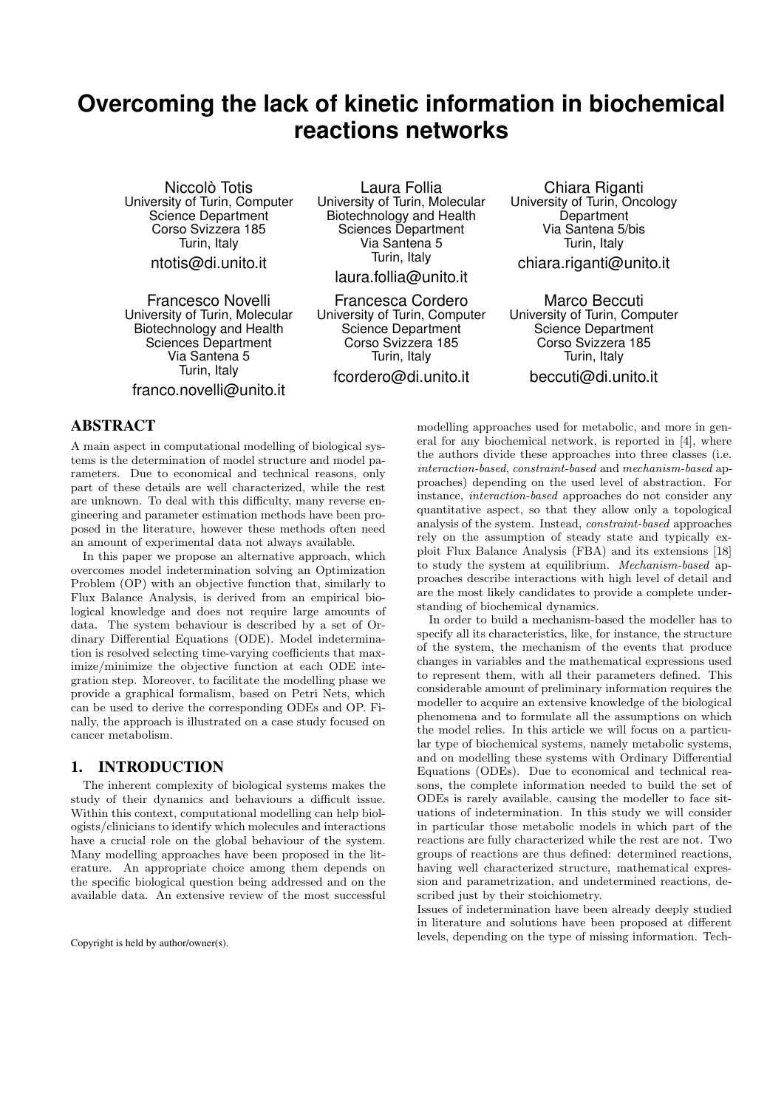# **Overcoming the lack of kinetic information in biochemical reactions networks**

Niccolò Totis University of Turin, Computer Science Department Corso Svizzera 185 Turin, Italy ntotis@di.unito.it

Francesco Novelli University of Turin, Molecular Biotechnology and Health Sciences Department Via Santena 5 Turin, Italy franco.novelli@unito.it

Laura Follia University of Turin, Molecular Biotechnology and Health Sciences Department Via Santena 5 Turin, Italy

laura.follia@unito.it

Francesca Cordero University of Turin, Computer Science Department Corso Svizzera 185 Turin, Italy

fcordero@di.unito.it

Chiara Riganti University of Turin, Oncology **Department** Via Santena 5/bis Turin, Italy chiara.riganti@unito.it

Marco Beccuti University of Turin, Computer Science Department Corso Svizzera 185 Turin, Italy beccuti@di.unito.it

# ABSTRACT

A main aspect in computational modelling of biological systems is the determination of model structure and model parameters. Due to economical and technical reasons, only part of these details are well characterized, while the rest are unknown. To deal with this difficulty, many reverse engineering and parameter estimation methods have been proposed in the literature, however these methods often need an amount of experimental data not always available.

In this paper we propose an alternative approach, which overcomes model indetermination solving an Optimization Problem (OP) with an objective function that, similarly to Flux Balance Analysis, is derived from an empirical biological knowledge and does not require large amounts of data. The system behaviour is described by a set of Ordinary Differential Equations (ODE). Model indetermination is resolved selecting time-varying coefficients that maximize/minimize the objective function at each ODE integration step. Moreover, to facilitate the modelling phase we provide a graphical formalism, based on Petri Nets, which can be used to derive the corresponding ODEs and OP. Finally, the approach is illustrated on a case study focused on cancer metabolism.

## 1. INTRODUCTION

The inherent complexity of biological systems makes the study of their dynamics and behaviours a difficult issue. Within this context, computational modelling can help biologists/clinicians to identify which molecules and interactions have a crucial role on the global behaviour of the system. Many modelling approaches have been proposed in the literature. An appropriate choice among them depends on the specific biological question being addressed and on the available data. An extensive review of the most successful

Copyright is held by author/owner(s).

modelling approaches used for metabolic, and more in general for any biochemical network, is reported in [4], where the authors divide these approaches into three classes (i.e. interaction-based, constraint-based and mechanism-based approaches) depending on the used level of abstraction. For instance, interaction-based approaches do not consider any quantitative aspect, so that they allow only a topological analysis of the system. Instead, constraint-based approaches rely on the assumption of steady state and typically exploit Flux Balance Analysis (FBA) and its extensions [18] to study the system at equilibrium. Mechanism-based approaches describe interactions with high level of detail and are the most likely candidates to provide a complete understanding of biochemical dynamics.

In order to build a mechanism-based the modeller has to specify all its characteristics, like, for instance, the structure of the system, the mechanism of the events that produce changes in variables and the mathematical expressions used to represent them, with all their parameters defined. This considerable amount of preliminary information requires the modeller to acquire an extensive knowledge of the biological phenomena and to formulate all the assumptions on which the model relies. In this article we will focus on a particular type of biochemical systems, namely metabolic systems, and on modelling these systems with Ordinary Differential Equations (ODEs). Due to economical and technical reasons, the complete information needed to build the set of ODEs is rarely available, causing the modeller to face situations of indetermination. In this study we will consider in particular those metabolic models in which part of the reactions are fully characterized while the rest are not. Two groups of reactions are thus defined: determined reactions, having well characterized structure, mathematical expression and parametrization, and undetermined reactions, described just by their stoichiometry.

Issues of indetermination have been already deeply studied in literature and solutions have been proposed at different levels, depending on the type of missing information. Tech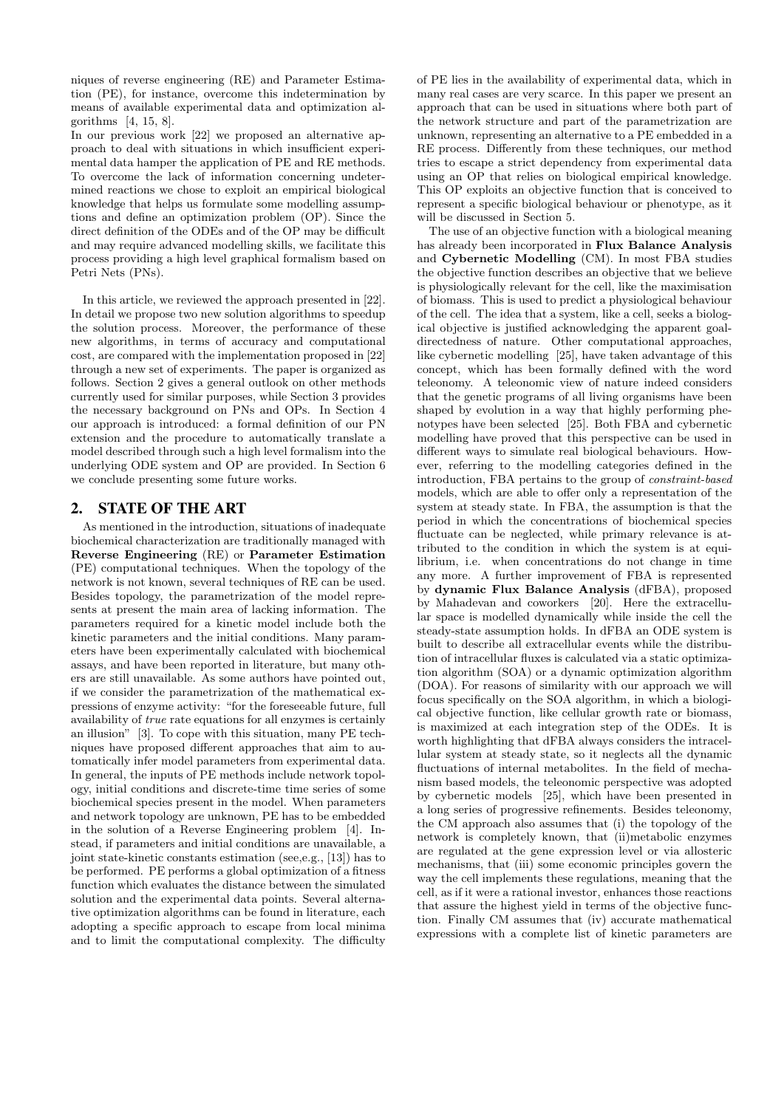niques of reverse engineering (RE) and Parameter Estimation (PE), for instance, overcome this indetermination by means of available experimental data and optimization algorithms [4, 15, 8].

In our previous work [22] we proposed an alternative approach to deal with situations in which insufficient experimental data hamper the application of PE and RE methods. To overcome the lack of information concerning undetermined reactions we chose to exploit an empirical biological knowledge that helps us formulate some modelling assumptions and define an optimization problem (OP). Since the direct definition of the ODEs and of the OP may be difficult and may require advanced modelling skills, we facilitate this process providing a high level graphical formalism based on Petri Nets (PNs).

In this article, we reviewed the approach presented in [22]. In detail we propose two new solution algorithms to speedup the solution process. Moreover, the performance of these new algorithms, in terms of accuracy and computational cost, are compared with the implementation proposed in [22] through a new set of experiments. The paper is organized as follows. Section 2 gives a general outlook on other methods currently used for similar purposes, while Section 3 provides the necessary background on PNs and OPs. In Section 4 our approach is introduced: a formal definition of our PN extension and the procedure to automatically translate a model described through such a high level formalism into the underlying ODE system and OP are provided. In Section 6 we conclude presenting some future works.

# 2. STATE OF THE ART

As mentioned in the introduction, situations of inadequate biochemical characterization are traditionally managed with Reverse Engineering (RE) or Parameter Estimation (PE) computational techniques. When the topology of the network is not known, several techniques of RE can be used. Besides topology, the parametrization of the model represents at present the main area of lacking information. The parameters required for a kinetic model include both the kinetic parameters and the initial conditions. Many parameters have been experimentally calculated with biochemical assays, and have been reported in literature, but many others are still unavailable. As some authors have pointed out, if we consider the parametrization of the mathematical expressions of enzyme activity: "for the foreseeable future, full availability of true rate equations for all enzymes is certainly an illusion" [3]. To cope with this situation, many PE techniques have proposed different approaches that aim to automatically infer model parameters from experimental data. In general, the inputs of PE methods include network topology, initial conditions and discrete-time time series of some biochemical species present in the model. When parameters and network topology are unknown, PE has to be embedded in the solution of a Reverse Engineering problem [4]. Instead, if parameters and initial conditions are unavailable, a joint state-kinetic constants estimation (see,e.g., [13]) has to be performed. PE performs a global optimization of a fitness function which evaluates the distance between the simulated solution and the experimental data points. Several alternative optimization algorithms can be found in literature, each adopting a specific approach to escape from local minima and to limit the computational complexity. The difficulty of PE lies in the availability of experimental data, which in many real cases are very scarce. In this paper we present an approach that can be used in situations where both part of the network structure and part of the parametrization are unknown, representing an alternative to a PE embedded in a RE process. Differently from these techniques, our method tries to escape a strict dependency from experimental data using an OP that relies on biological empirical knowledge. This OP exploits an objective function that is conceived to represent a specific biological behaviour or phenotype, as it will be discussed in Section 5.

The use of an objective function with a biological meaning has already been incorporated in Flux Balance Analysis and Cybernetic Modelling (CM). In most FBA studies the objective function describes an objective that we believe is physiologically relevant for the cell, like the maximisation of biomass. This is used to predict a physiological behaviour of the cell. The idea that a system, like a cell, seeks a biological objective is justified acknowledging the apparent goaldirectedness of nature. Other computational approaches, like cybernetic modelling [25], have taken advantage of this concept, which has been formally defined with the word teleonomy. A teleonomic view of nature indeed considers that the genetic programs of all living organisms have been shaped by evolution in a way that highly performing phenotypes have been selected [25]. Both FBA and cybernetic modelling have proved that this perspective can be used in different ways to simulate real biological behaviours. However, referring to the modelling categories defined in the introduction, FBA pertains to the group of constraint-based models, which are able to offer only a representation of the system at steady state. In FBA, the assumption is that the period in which the concentrations of biochemical species fluctuate can be neglected, while primary relevance is attributed to the condition in which the system is at equilibrium, i.e. when concentrations do not change in time any more. A further improvement of FBA is represented by dynamic Flux Balance Analysis (dFBA), proposed by Mahadevan and coworkers [20]. Here the extracellular space is modelled dynamically while inside the cell the steady-state assumption holds. In dFBA an ODE system is built to describe all extracellular events while the distribution of intracellular fluxes is calculated via a static optimization algorithm (SOA) or a dynamic optimization algorithm (DOA). For reasons of similarity with our approach we will focus specifically on the SOA algorithm, in which a biological objective function, like cellular growth rate or biomass, is maximized at each integration step of the ODEs. It is worth highlighting that dFBA always considers the intracellular system at steady state, so it neglects all the dynamic fluctuations of internal metabolites. In the field of mechanism based models, the teleonomic perspective was adopted by cybernetic models [25], which have been presented in a long series of progressive refinements. Besides teleonomy, the CM approach also assumes that (i) the topology of the network is completely known, that (ii)metabolic enzymes are regulated at the gene expression level or via allosteric mechanisms, that (iii) some economic principles govern the way the cell implements these regulations, meaning that the cell, as if it were a rational investor, enhances those reactions that assure the highest yield in terms of the objective function. Finally CM assumes that (iv) accurate mathematical expressions with a complete list of kinetic parameters are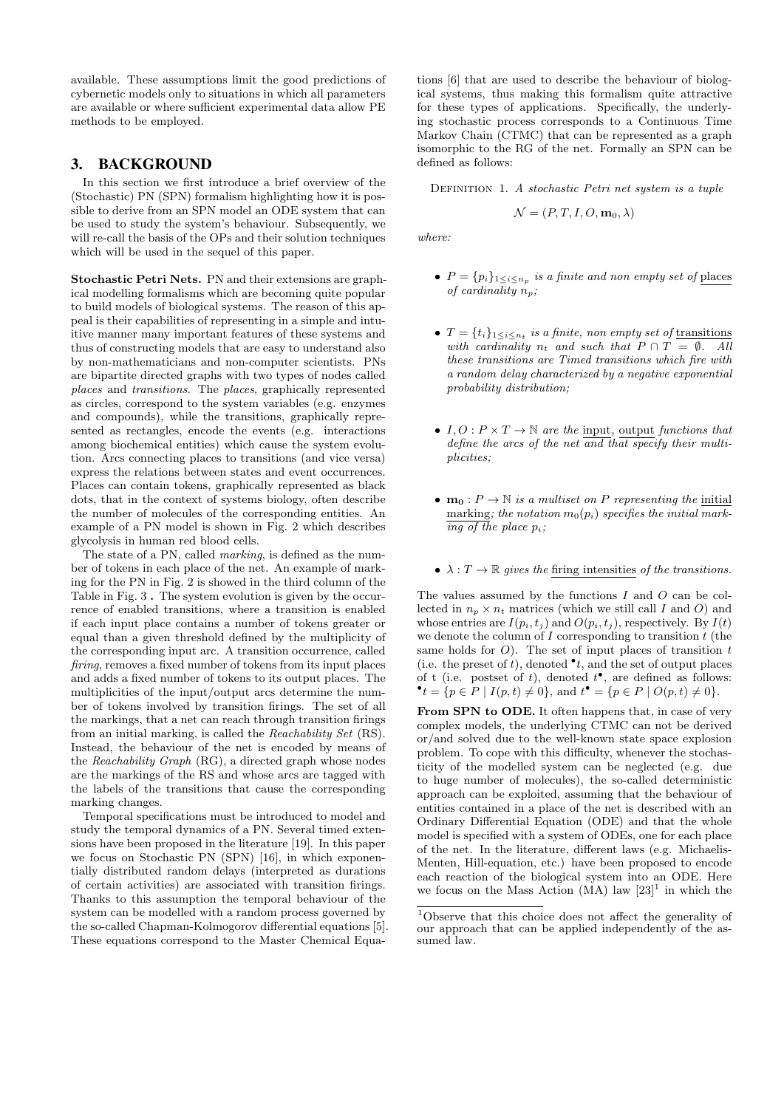available. These assumptions limit the good predictions of cybernetic models only to situations in which all parameters are available or where sufficient experimental data allow PE methods to be employed.

## 3. BACKGROUND

In this section we first introduce a brief overview of the (Stochastic) PN (SPN) formalism highlighting how it is possible to derive from an SPN model an ODE system that can be used to study the system's behaviour. Subsequently, we will re-call the basis of the OPs and their solution techniques which will be used in the sequel of this paper.

Stochastic Petri Nets. PN and their extensions are graphical modelling formalisms which are becoming quite popular to build models of biological systems. The reason of this appeal is their capabilities of representing in a simple and intuitive manner many important features of these systems and thus of constructing models that are easy to understand also by non-mathematicians and non-computer scientists. PNs are bipartite directed graphs with two types of nodes called places and transitions. The places, graphically represented as circles, correspond to the system variables (e.g. enzymes and compounds), while the transitions, graphically represented as rectangles, encode the events (e.g. interactions among biochemical entities) which cause the system evolution. Arcs connecting places to transitions (and vice versa) express the relations between states and event occurrences. Places can contain tokens, graphically represented as black dots, that in the context of systems biology, often describe the number of molecules of the corresponding entities. An example of a PN model is shown in Fig. 2 which describes glycolysis in human red blood cells.

The state of a PN, called marking, is defined as the number of tokens in each place of the net. An example of marking for the PN in Fig. 2 is showed in the third column of the Table in Fig. 3 . The system evolution is given by the occurrence of enabled transitions, where a transition is enabled if each input place contains a number of tokens greater or equal than a given threshold defined by the multiplicity of the corresponding input arc. A transition occurrence, called firing, removes a fixed number of tokens from its input places and adds a fixed number of tokens to its output places. The multiplicities of the input/output arcs determine the number of tokens involved by transition firings. The set of all the markings, that a net can reach through transition firings from an initial marking, is called the Reachability Set (RS). Instead, the behaviour of the net is encoded by means of the Reachability Graph (RG), a directed graph whose nodes are the markings of the RS and whose arcs are tagged with the labels of the transitions that cause the corresponding marking changes.

Temporal specifications must be introduced to model and study the temporal dynamics of a PN. Several timed extensions have been proposed in the literature [19]. In this paper we focus on Stochastic PN (SPN) [16], in which exponentially distributed random delays (interpreted as durations of certain activities) are associated with transition firings. Thanks to this assumption the temporal behaviour of the system can be modelled with a random process governed by the so-called Chapman-Kolmogorov differential equations [5]. These equations correspond to the Master Chemical Equa-

tions [6] that are used to describe the behaviour of biological systems, thus making this formalism quite attractive for these types of applications. Specifically, the underlying stochastic process corresponds to a Continuous Time Markov Chain (CTMC) that can be represented as a graph isomorphic to the RG of the net. Formally an SPN can be defined as follows:

DEFINITION 1. A stochastic Petri net system is a tuple

$$
\mathcal{N} = (P, T, I, O, \mathbf{m}_0, \lambda)
$$

where:

- $P = \{p_i\}_{1 \leq i \leq n_p}$  is a finite and non empty set of places of cardinality  $n_p$ ;
- $T = \{t_i\}_{1 \leq i \leq n_t}$  is a finite, non empty set of transitions with cardinality  $n_t$  and such that  $P \cap T = \emptyset$ . All these transitions are Timed transitions which fire with a random delay characterized by a negative exponential probability distribution;
- $I, O: P \times T \rightarrow \mathbb{N}$  are the input, output functions that define the arcs of the net  $\overline{and}$  that specify their multiplicities;
- $m_0: P \to \mathbb{N}$  is a multiset on P representing the initial marking; the notation  $m_0(p_i)$  specifies the initial mark- $\overline{ing\ of\ the\ place\ p_i};$
- $\lambda: T \to \mathbb{R}$  gives the firing intensities of the transitions.

The values assumed by the functions I and O can be collected in  $n_p \times n_t$  matrices (which we still call I and O) and whose entries are  $I(p_i, t_j)$  and  $O(p_i, t_j)$ , respectively. By  $I(t)$ we denote the column of  $I$  corresponding to transition  $t$  (the same holds for  $O$ ). The set of input places of transition t (i.e. the preset of t), denoted  $\bullet$  t, and the set of output places of t (i.e. postset of t), denoted  $t^{\bullet}$ , are defined as follows:  $\bullet$  t = {p ∈ P | I(p, t) ≠ 0}, and t  $\bullet$  = {p ∈ P | O(p, t) ≠ 0}.

From SPN to ODE. It often happens that, in case of very complex models, the underlying CTMC can not be derived or/and solved due to the well-known state space explosion problem. To cope with this difficulty, whenever the stochasticity of the modelled system can be neglected (e.g. due to huge number of molecules), the so-called deterministic approach can be exploited, assuming that the behaviour of entities contained in a place of the net is described with an Ordinary Differential Equation (ODE) and that the whole model is specified with a system of ODEs, one for each place of the net. In the literature, different laws (e.g. Michaelis-Menten, Hill-equation, etc.) have been proposed to encode each reaction of the biological system into an ODE. Here we focus on the Mass Action (MA) law  $[23]$ <sup>1</sup> in which the

<sup>1</sup>Observe that this choice does not affect the generality of our approach that can be applied independently of the assumed law.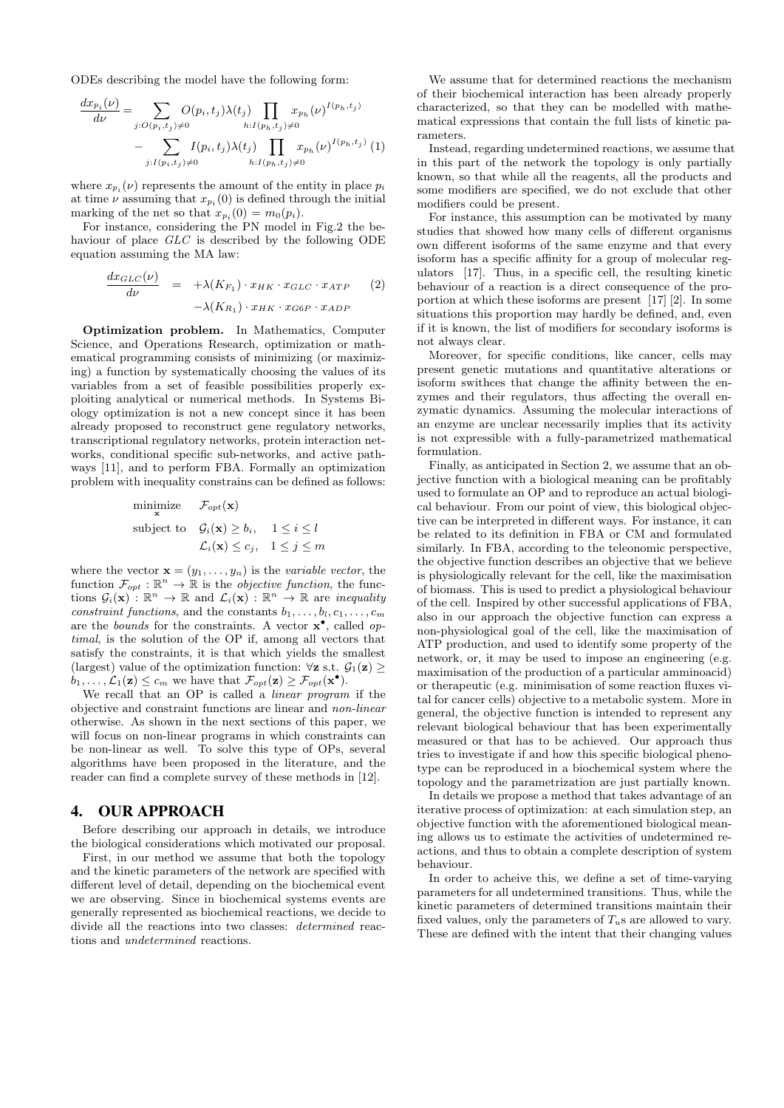ODEs describing the model have the following form:

$$
\frac{dx_{p_i}(\nu)}{d\nu} = \sum_{j:O(p_i,t_j)\neq 0} O(p_i,t_j)\lambda(t_j) \prod_{h:I(p_h,t_j)\neq 0} x_{p_h}(\nu)^{I(p_h,t_j)} - \sum_{j:I(p_i,t_j)\neq 0} I(p_i,t_j)\lambda(t_j) \prod_{h:I(p_h,t_j)\neq 0} x_{p_h}(\nu)^{I(p_h,t_j)} (1)
$$

where  $x_{p_i}(\nu)$  represents the amount of the entity in place  $p_i$ at time  $\nu$  assuming that  $x_{p_i}(0)$  is defined through the initial marking of the net so that  $x_{p_i}(0) = m_0(p_i)$ .

For instance, considering the PN model in Fig.2 the behaviour of place GLC is described by the following ODE equation assuming the MA law:

$$
\frac{dx_{GLC}(\nu)}{d\nu} = +\lambda(K_{F_1}) \cdot x_{HK} \cdot x_{GLC} \cdot x_{ATP} \qquad (2)
$$

$$
-\lambda(K_{R_1}) \cdot x_{HK} \cdot x_{G6P} \cdot x_{ADP}
$$

Optimization problem. In Mathematics, Computer Science, and Operations Research, optimization or mathematical programming consists of minimizing (or maximizing) a function by systematically choosing the values of its variables from a set of feasible possibilities properly exploiting analytical or numerical methods. In Systems Biology optimization is not a new concept since it has been already proposed to reconstruct gene regulatory networks, transcriptional regulatory networks, protein interaction networks, conditional specific sub-networks, and active pathways [11], and to perform FBA. Formally an optimization problem with inequality constrains can be defined as follows:

minimize 
$$
\mathcal{F}_{opt}(\mathbf{x})
$$
  
\nsubject to  $\mathcal{G}_i(\mathbf{x}) \ge b_i$ ,  $1 \le i \le l$   
\n $\mathcal{L}_i(\mathbf{x}) \le c_j$ ,  $1 \le j \le m$ 

where the vector  $\mathbf{x} = (y_1, \ldots, y_n)$  is the variable vector, the function  $\mathcal{F}_{opt} : \mathbb{R}^n \to \mathbb{R}$  is the *objective function*, the functions  $\mathcal{G}_i(\mathbf{x}) : \mathbb{R}^n \to \mathbb{R}$  and  $\mathcal{L}_i(\mathbf{x}) : \mathbb{R}^n \to \mathbb{R}$  are *inequality* constraint functions, and the constants  $b_1, \ldots, b_l, c_1, \ldots, c_m$ are the *bounds* for the constraints. A vector  $\mathbf{x}^{\bullet}$ , called optimal, is the solution of the OP if, among all vectors that satisfy the constraints, it is that which yields the smallest (largest) value of the optimization function:  $\forall z$  s.t.  $\mathcal{G}_1(z) \geq$  $b_1, \ldots, \mathcal{L}_1(\mathbf{z}) \leq c_m$  we have that  $\mathcal{F}_{opt}(\mathbf{z}) \geq \mathcal{F}_{opt}(\mathbf{x}^{\bullet}).$ 

We recall that an OP is called a linear program if the objective and constraint functions are linear and non-linear otherwise. As shown in the next sections of this paper, we will focus on non-linear programs in which constraints can be non-linear as well. To solve this type of OPs, several algorithms have been proposed in the literature, and the reader can find a complete survey of these methods in [12].

## 4. OUR APPROACH

Before describing our approach in details, we introduce the biological considerations which motivated our proposal.

First, in our method we assume that both the topology and the kinetic parameters of the network are specified with different level of detail, depending on the biochemical event we are observing. Since in biochemical systems events are generally represented as biochemical reactions, we decide to divide all the reactions into two classes: determined reactions and undetermined reactions.

We assume that for determined reactions the mechanism of their biochemical interaction has been already properly characterized, so that they can be modelled with mathematical expressions that contain the full lists of kinetic parameters.

Instead, regarding undetermined reactions, we assume that in this part of the network the topology is only partially known, so that while all the reagents, all the products and some modifiers are specified, we do not exclude that other modifiers could be present.

For instance, this assumption can be motivated by many studies that showed how many cells of different organisms own different isoforms of the same enzyme and that every isoform has a specific affinity for a group of molecular regulators [17]. Thus, in a specific cell, the resulting kinetic behaviour of a reaction is a direct consequence of the proportion at which these isoforms are present [17] [2]. In some situations this proportion may hardly be defined, and, even if it is known, the list of modifiers for secondary isoforms is not always clear.

Moreover, for specific conditions, like cancer, cells may present genetic mutations and quantitative alterations or isoform swithces that change the affinity between the enzymes and their regulators, thus affecting the overall enzymatic dynamics. Assuming the molecular interactions of an enzyme are unclear necessarily implies that its activity is not expressible with a fully-parametrized mathematical formulation.

Finally, as anticipated in Section 2, we assume that an objective function with a biological meaning can be profitably used to formulate an OP and to reproduce an actual biological behaviour. From our point of view, this biological objective can be interpreted in different ways. For instance, it can be related to its definition in FBA or CM and formulated similarly. In FBA, according to the teleonomic perspective, the objective function describes an objective that we believe is physiologically relevant for the cell, like the maximisation of biomass. This is used to predict a physiological behaviour of the cell. Inspired by other successful applications of FBA, also in our approach the objective function can express a non-physiological goal of the cell, like the maximisation of ATP production, and used to identify some property of the network, or, it may be used to impose an engineering (e.g. maximisation of the production of a particular amminoacid) or therapeutic (e.g. minimisation of some reaction fluxes vital for cancer cells) objective to a metabolic system. More in general, the objective function is intended to represent any relevant biological behaviour that has been experimentally measured or that has to be achieved. Our approach thus tries to investigate if and how this specific biological phenotype can be reproduced in a biochemical system where the topology and the parametrization are just partially known.

In details we propose a method that takes advantage of an iterative process of optimization: at each simulation step, an objective function with the aforementioned biological meaning allows us to estimate the activities of undetermined reactions, and thus to obtain a complete description of system behaviour.

In order to acheive this, we define a set of time-varying parameters for all undetermined transitions. Thus, while the kinetic parameters of determined transitions maintain their fixed values, only the parameters of  $T_{u}$ s are allowed to vary. These are defined with the intent that their changing values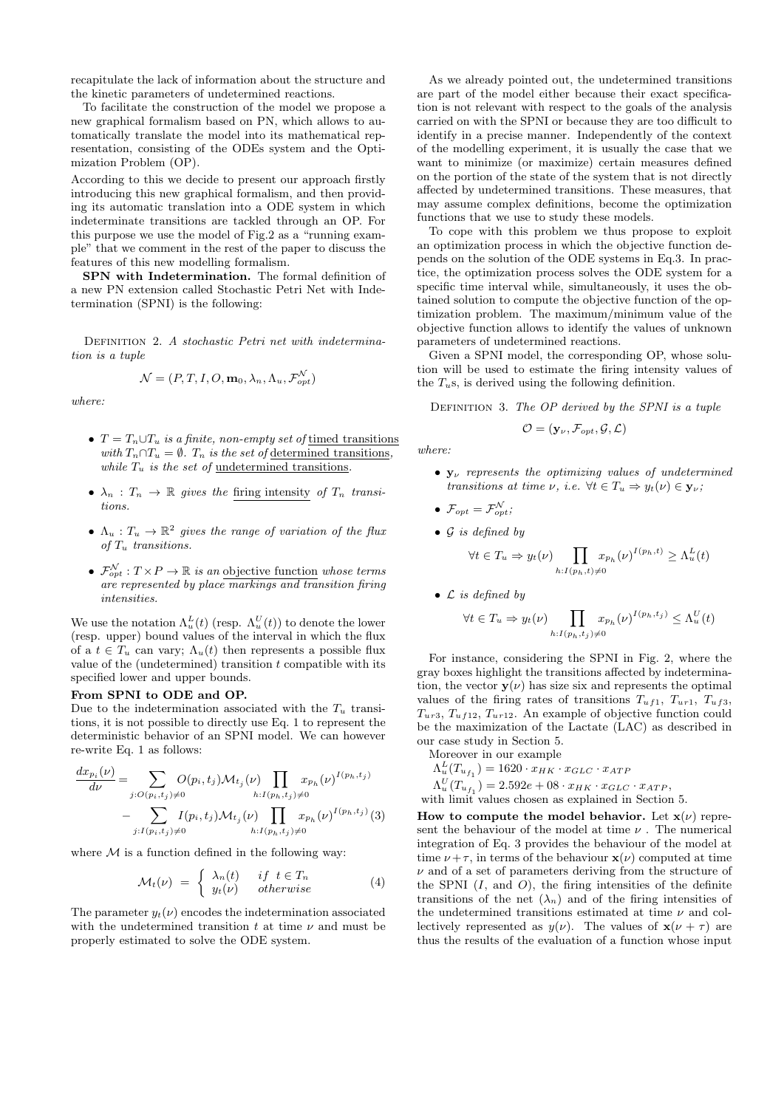recapitulate the lack of information about the structure and the kinetic parameters of undetermined reactions.

To facilitate the construction of the model we propose a new graphical formalism based on PN, which allows to automatically translate the model into its mathematical representation, consisting of the ODEs system and the Optimization Problem (OP).

According to this we decide to present our approach firstly introducing this new graphical formalism, and then providing its automatic translation into a ODE system in which indeterminate transitions are tackled through an OP. For this purpose we use the model of Fig.2 as a "running example" that we comment in the rest of the paper to discuss the features of this new modelling formalism.

SPN with Indetermination. The formal definition of a new PN extension called Stochastic Petri Net with Indetermination (SPNI) is the following:

DEFINITION 2. A stochastic Petri net with indetermination is a tuple

$$
\mathcal{N} = (P, T, I, O, \mathbf{m}_0, \lambda_n, \Lambda_u, \mathcal{F}_{opt}^{\mathcal{N}})
$$

where:

- $T = T_n \cup T_u$  is a finite, non-empty set of timed transitions with  $T_n \cap T_u = \emptyset$ .  $T_n$  is the set of determined transitions, while  $T_u$  is the set of undetermined transitions.
- $\lambda_n : T_n \to \mathbb{R}$  gives the firing intensity of  $T_n$  transitions.
- $\Lambda_u : T_u \to \mathbb{R}^2$  gives the range of variation of the flux of  $T_u$  transitions.
- $\mathcal{F}_{opt}^{\mathcal{N}}: T \times P \to \mathbb{R}$  is an objective function whose terms are represented by place  $\overline{markings}$  and transition firing intensities.

We use the notation  $\Lambda_u^L(t)$  (resp.  $\Lambda_u^U(t)$ ) to denote the lower (resp. upper) bound values of the interval in which the flux of a  $t \in T_u$  can vary;  $\Lambda_u(t)$  then represents a possible flux value of the (undetermined) transition  $t$  compatible with its specified lower and upper bounds.

#### From SPNI to ODE and OP.

Due to the indetermination associated with the  $T_u$  transitions, it is not possible to directly use Eq. 1 to represent the deterministic behavior of an SPNI model. We can however re-write Eq. 1 as follows:

$$
\frac{dx_{p_i}(\nu)}{d\nu} = \sum_{j:O(p_i,t_j)\neq 0} O(p_i,t_j) \mathcal{M}_{t_j}(\nu) \prod_{h:I(p_h,t_j)\neq 0} x_{p_h}(\nu)^{I(p_h,t_j)} \n- \sum_{j:I(p_i,t_j)\neq 0} I(p_i,t_j) \mathcal{M}_{t_j}(\nu) \prod_{h:I(p_h,t_j)\neq 0} x_{p_h}(\nu)^{I(p_h,t_j)}(3)
$$

where  $M$  is a function defined in the following way:

$$
\mathcal{M}_t(\nu) = \begin{cases} \lambda_n(t) & \text{if } t \in T_n \\ y_t(\nu) & \text{otherwise} \end{cases} \tag{4}
$$

The parameter  $y_t(\nu)$  encodes the indetermination associated with the undetermined transition t at time  $\nu$  and must be properly estimated to solve the ODE system.

As we already pointed out, the undetermined transitions are part of the model either because their exact specification is not relevant with respect to the goals of the analysis carried on with the SPNI or because they are too difficult to identify in a precise manner. Independently of the context of the modelling experiment, it is usually the case that we want to minimize (or maximize) certain measures defined on the portion of the state of the system that is not directly affected by undetermined transitions. These measures, that may assume complex definitions, become the optimization functions that we use to study these models.

To cope with this problem we thus propose to exploit an optimization process in which the objective function depends on the solution of the ODE systems in Eq.3. In practice, the optimization process solves the ODE system for a specific time interval while, simultaneously, it uses the obtained solution to compute the objective function of the optimization problem. The maximum/minimum value of the objective function allows to identify the values of unknown parameters of undetermined reactions.

Given a SPNI model, the corresponding OP, whose solution will be used to estimate the firing intensity values of the  $T<sub>u</sub>$ s, is derived using the following definition.

DEFINITION 3. The  $OP$  derived by the SPNI is a tuple

$$
\mathcal{O} = (\mathbf{y}_{\nu}, \mathcal{F}_{opt}, \mathcal{G}, \mathcal{L})
$$

where:

- $\mathbf{v}_{\nu}$  represents the optimizing values of undetermined transitions at time  $\nu$ , i.e.  $\forall t \in T_u \Rightarrow y_t(\nu) \in \mathbf{y}_{\nu}$ ;
- $\mathcal{F}_{opt} = \mathcal{F}_{opt}^{\mathcal{N}};$
- $\bullet$  G is defined by

$$
\forall t \in T_u \Rightarrow y_t(\nu) \prod_{h: I(p_h, t) \neq 0} x_{p_h}(\nu)^{I(p_h, t)} \ge \Lambda_u^L(t)
$$

•  $\mathcal L$  is defined by

$$
\forall t \in T_u \Rightarrow y_t(\nu) \prod_{h: I(p_h, t_j) \neq 0} x_{p_h}(\nu)^{I(p_h, t_j)} \leq \Lambda_u^U(t)
$$

For instance, considering the SPNI in Fig. 2, where the gray boxes highlight the transitions affected by indetermination, the vector  $y(\nu)$  has size six and represents the optimal values of the firing rates of transitions  $T_{uf1}$ ,  $T_{ur1}$ ,  $T_{uf3}$ ,  $T_{ur3}, T_{uf12}, T_{ur12}.$  An example of objective function could be the maximization of the Lactate (LAC) as described in our case study in Section 5.

Moreover in our example

- $\Lambda_u^L(T_{u_{f_1}}) = 1620 \cdot x_{HK} \cdot x_{GLC} \cdot x_{ATF}$
- $\Lambda_u^U(T_{u_{f_1}}) = 2.592e + 08 \cdot x_{HK} \cdot x_{GLC} \cdot x_{ATP},$

with limit values chosen as explained in Section 5.

How to compute the model behavior. Let  $\mathbf{x}(\nu)$  represent the behaviour of the model at time  $\nu$ . The numerical integration of Eq. 3 provides the behaviour of the model at time  $\nu + \tau$ , in terms of the behaviour  $\mathbf{x}(\nu)$  computed at time  $\nu$  and of a set of parameters deriving from the structure of the SPNI  $(I, \text{ and } O)$ , the firing intensities of the definite transitions of the net  $(\lambda_n)$  and of the firing intensities of the undetermined transitions estimated at time  $\nu$  and collectively represented as  $y(\nu)$ . The values of  $\mathbf{x}(\nu + \tau)$  are thus the results of the evaluation of a function whose input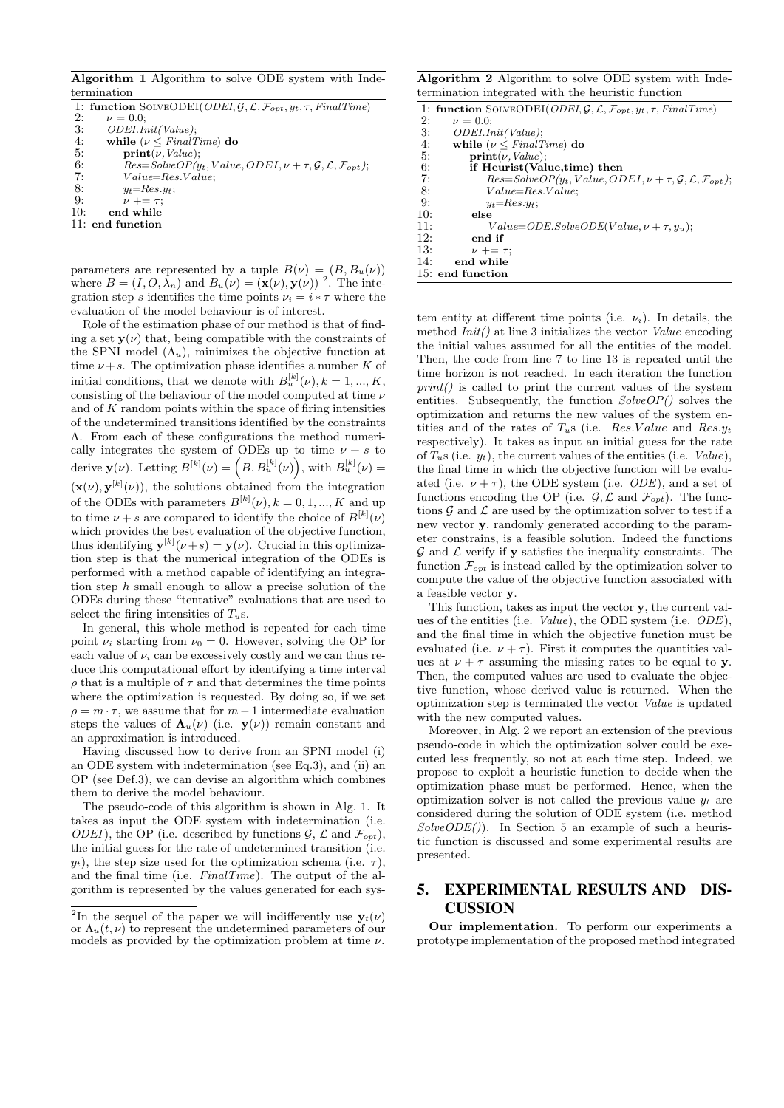Algorithm 1 Algorithm to solve ODE system with Indetermination

|     | 1: function SOLVEODEI(ODEI, $G, \mathcal{L}, \mathcal{F}_{opt}, y_t, \tau$ , FinalTime)     |
|-----|---------------------------------------------------------------------------------------------|
| 2:  | $\nu = 0.0$                                                                                 |
| 3:  | ODEI.Init(Value);                                                                           |
| 4:  | while ( $\nu \leq FinalTime$ ) do                                                           |
| 5:  | $\textbf{print}(\nu, Value);$                                                               |
| 6:  | $Res = SolveOP(y_t, Value, ODEI, \nu + \tau, \mathcal{G}, \mathcal{L}, \mathcal{F}_{opt});$ |
| 7:  | $Value = Res. Value;$                                                                       |
| 8:  | $y_t = Res. y_t$ ;                                                                          |
| 9:  | $\nu$ += $\tau$ ;                                                                           |
| 10: | end while                                                                                   |
|     | $11:$ end function                                                                          |

parameters are represented by a tuple  $B(\nu) = (B, B_u(\nu))$ where  $B = (I, O, \lambda_n)$  and  $B_u(\nu) = (\mathbf{x}(\nu), \mathbf{y}(\nu))^2$ . The integration step s identifies the time points  $\nu_i = i * \tau$  where the evaluation of the model behaviour is of interest.

Role of the estimation phase of our method is that of finding a set  $y(\nu)$  that, being compatible with the constraints of the SPNI model  $(\Lambda_u)$ , minimizes the objective function at time  $\nu + s$ . The optimization phase identifies a number K of initial conditions, that we denote with  $B_u^{[k]}(\nu)$ ,  $k = 1, ..., K$ , consisting of the behaviour of the model computed at time  $\nu$ and of  $K$  random points within the space of firing intensities of the undetermined transitions identified by the constraints Λ. From each of these configurations the method numerically integrates the system of ODEs up to time  $\nu + s$  to derive  $\mathbf{y}(\nu)$ . Letting  $B^{[k]}(\nu) = (B, B_u^{[k]}(\nu))$ , with  $B_u^{[k]}(\nu) =$  $(\mathbf{x}(\nu), \mathbf{y}^{[k]}(\nu))$ , the solutions obtained from the integration of the ODEs with parameters  $B^{[k]}(\nu)$ ,  $k = 0, 1, ..., K$  and up to time  $\nu + s$  are compared to identify the choice of  $B^{[k]}(\nu)$ which provides the best evaluation of the objective function, thus identifying  $\mathbf{y}^{[k]}(\nu+s) = \mathbf{y}(\nu)$ . Crucial in this optimization step is that the numerical integration of the ODEs is performed with a method capable of identifying an integration step h small enough to allow a precise solution of the ODEs during these "tentative" evaluations that are used to select the firing intensities of  $T_u$ s.

In general, this whole method is repeated for each time point  $\nu_i$  starting from  $\nu_0 = 0$ . However, solving the OP for each value of  $\nu_i$  can be excessively costly and we can thus reduce this computational effort by identifying a time interval  $\rho$  that is a multiple of  $\tau$  and that determines the time points where the optimization is requested. By doing so, if we set  $\rho = m \cdot \tau$ , we assume that for  $m-1$  intermediate evaluation steps the values of  $\Lambda_u(\nu)$  (i.e.  $y(\nu)$ ) remain constant and an approximation is introduced.

Having discussed how to derive from an SPNI model (i) an ODE system with indetermination (see Eq.3), and (ii) an OP (see Def.3), we can devise an algorithm which combines them to derive the model behaviour.

The pseudo-code of this algorithm is shown in Alg. 1. It takes as input the ODE system with indetermination (i.e. *ODEI*), the OP (i.e. described by functions  $\mathcal{G}, \mathcal{L}$  and  $\mathcal{F}_{opt}$ ), the initial guess for the rate of undetermined transition (i.e.  $y_t$ ), the step size used for the optimization schema (i.e.  $\tau$ ), and the final time (i.e. FinalTime). The output of the algorithm is represented by the values generated for each sysAlgorithm 2 Algorithm to solve ODE system with Indetermination integrated with the heuristic function

|     | 1: function SOLVEODEI(ODEI, $G, \mathcal{L}, \mathcal{F}_{opt}, y_t, \tau$ , FinalTime)     |  |  |  |
|-----|---------------------------------------------------------------------------------------------|--|--|--|
| 2:  | $\nu = 0.0$                                                                                 |  |  |  |
| 3:  | ODEI.Init(Value);                                                                           |  |  |  |
| 4:  | while ( $\nu \leq FinalTime$ ) do                                                           |  |  |  |
| 5:  | $\textbf{print}(\nu, Value);$                                                               |  |  |  |
| 6:  | if Heurist(Value,time) then                                                                 |  |  |  |
| 7:  | $Res = SolveOP(y_t, Value, ODEI, \nu + \tau, \mathcal{G}, \mathcal{L}, \mathcal{F}_{opt});$ |  |  |  |
| 8:  | $Value = Res. Value;$                                                                       |  |  |  |
| 9:  | $y_t = Res. y_t$ ;                                                                          |  |  |  |
| 10: | else                                                                                        |  |  |  |
| 11: | $Value=ODE.SolveODE(Value, \nu + \tau, y_u);$                                               |  |  |  |
| 12: | end if                                                                                      |  |  |  |
| 13: | $\nu + = \tau$ ;                                                                            |  |  |  |
| 14: | end while                                                                                   |  |  |  |
|     | 15: end function                                                                            |  |  |  |
|     |                                                                                             |  |  |  |

tem entity at different time points (i.e.  $\nu_i$ ). In details, the method  $Init()$  at line 3 initializes the vector *Value* encoding the initial values assumed for all the entities of the model. Then, the code from line 7 to line 13 is repeated until the time horizon is not reached. In each iteration the function  $print()$  is called to print the current values of the system entities. Subsequently, the function  $SolveOP()$  solves the optimization and returns the new values of the system entities and of the rates of  $T_{uS}$  (i.e. Res.Value and Res. $y_t$ respectively). It takes as input an initial guess for the rate of  $T<sub>u</sub>$ s (i.e.  $y<sub>t</sub>$ ), the current values of the entities (i.e. *Value*), the final time in which the objective function will be evaluated (i.e.  $\nu + \tau$ ), the ODE system (i.e. *ODE*), and a set of functions encoding the OP (i.e.  $\mathcal{G}, \mathcal{L}$  and  $\mathcal{F}_{opt}$ ). The functions  $G$  and  $\mathcal L$  are used by the optimization solver to test if a new vector y, randomly generated according to the parameter constrains, is a feasible solution. Indeed the functions  $G$  and  $\mathcal L$  verify if **y** satisfies the inequality constraints. The function  $\mathcal{F}_{opt}$  is instead called by the optimization solver to compute the value of the objective function associated with a feasible vector y.

This function, takes as input the vector y, the current values of the entities (i.e. Value), the ODE system (i.e. ODE), and the final time in which the objective function must be evaluated (i.e.  $\nu + \tau$ ). First it computes the quantities values at  $\nu + \tau$  assuming the missing rates to be equal to y. Then, the computed values are used to evaluate the objective function, whose derived value is returned. When the optimization step is terminated the vector Value is updated with the new computed values.

Moreover, in Alg. 2 we report an extension of the previous pseudo-code in which the optimization solver could be executed less frequently, so not at each time step. Indeed, we propose to exploit a heuristic function to decide when the optimization phase must be performed. Hence, when the optimization solver is not called the previous value  $y_t$  are considered during the solution of ODE system (i.e. method  $SolveODE()$ . In Section 5 an example of such a heuristic function is discussed and some experimental results are presented.

# 5. EXPERIMENTAL RESULTS AND DIS-CUSSION

Our implementation. To perform our experiments a prototype implementation of the proposed method integrated

<sup>&</sup>lt;sup>2</sup>In the sequel of the paper we will indifferently use  $y_t(\nu)$ or  $\Lambda_u(t,\nu)$  to represent the undetermined parameters of our models as provided by the optimization problem at time  $\nu$ .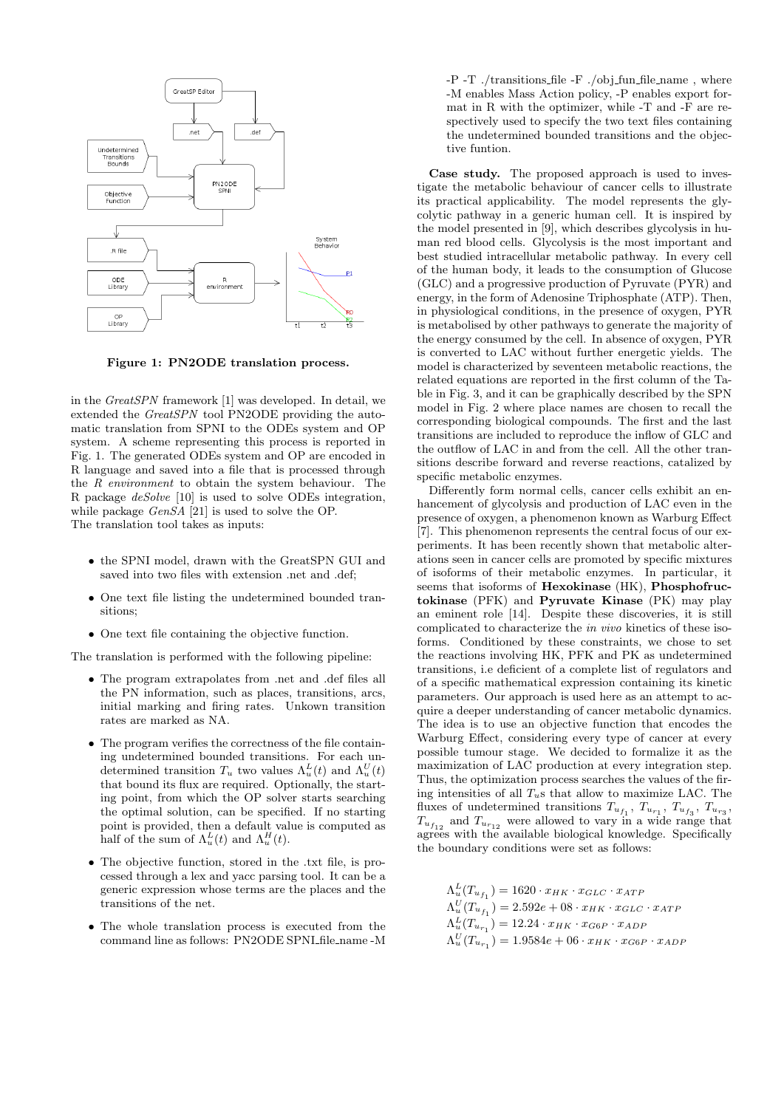

Figure 1: PN2ODE translation process.

in the GreatSPN framework [1] was developed. In detail, we extended the GreatSPN tool PN2ODE providing the automatic translation from SPNI to the ODEs system and OP system. A scheme representing this process is reported in Fig. 1. The generated ODEs system and OP are encoded in R language and saved into a file that is processed through the R environment to obtain the system behaviour. The R package deSolve [10] is used to solve ODEs integration, while package GenSA [21] is used to solve the OP. The translation tool takes as inputs:

- the SPNI model, drawn with the GreatSPN GUI and saved into two files with extension .net and .def;
- One text file listing the undetermined bounded transitions;
- One text file containing the objective function.

The translation is performed with the following pipeline:

- The program extrapolates from .net and .def files all the PN information, such as places, transitions, arcs, initial marking and firing rates. Unkown transition rates are marked as NA.
- The program verifies the correctness of the file containing undetermined bounded transitions. For each undetermined transition  $T_u$  two values  $\Lambda_u^L(t)$  and  $\Lambda_u^U(t)$ that bound its flux are required. Optionally, the starting point, from which the OP solver starts searching the optimal solution, can be specified. If no starting point is provided, then a default value is computed as half of the sum of  $\Lambda_u^L(t)$  and  $\Lambda_u^H(t)$ .
- The objective function, stored in the .txt file, is processed through a lex and yacc parsing tool. It can be a generic expression whose terms are the places and the transitions of the net.
- The whole translation process is executed from the command line as follows: PN2ODE SPNI file name -M

-P -T ./transitions file -F ./obj fun file name , where -M enables Mass Action policy, -P enables export format in R with the optimizer, while -T and -F are respectively used to specify the two text files containing the undetermined bounded transitions and the objective funtion.

Case study. The proposed approach is used to investigate the metabolic behaviour of cancer cells to illustrate its practical applicability. The model represents the glycolytic pathway in a generic human cell. It is inspired by the model presented in [9], which describes glycolysis in human red blood cells. Glycolysis is the most important and best studied intracellular metabolic pathway. In every cell of the human body, it leads to the consumption of Glucose (GLC) and a progressive production of Pyruvate (PYR) and energy, in the form of Adenosine Triphosphate (ATP). Then, in physiological conditions, in the presence of oxygen, PYR is metabolised by other pathways to generate the majority of the energy consumed by the cell. In absence of oxygen, PYR is converted to LAC without further energetic yields. The model is characterized by seventeen metabolic reactions, the related equations are reported in the first column of the Table in Fig. 3, and it can be graphically described by the SPN model in Fig. 2 where place names are chosen to recall the corresponding biological compounds. The first and the last transitions are included to reproduce the inflow of GLC and the outflow of LAC in and from the cell. All the other transitions describe forward and reverse reactions, catalized by specific metabolic enzymes.

Differently form normal cells, cancer cells exhibit an enhancement of glycolysis and production of LAC even in the presence of oxygen, a phenomenon known as Warburg Effect [7]. This phenomenon represents the central focus of our experiments. It has been recently shown that metabolic alterations seen in cancer cells are promoted by specific mixtures of isoforms of their metabolic enzymes. In particular, it seems that isoforms of Hexokinase (HK), Phosphofructokinase (PFK) and Pyruvate Kinase (PK) may play an eminent role [14]. Despite these discoveries, it is still complicated to characterize the in vivo kinetics of these isoforms. Conditioned by these constraints, we chose to set the reactions involving HK, PFK and PK as undetermined transitions, i.e deficient of a complete list of regulators and of a specific mathematical expression containing its kinetic parameters. Our approach is used here as an attempt to acquire a deeper understanding of cancer metabolic dynamics. The idea is to use an objective function that encodes the Warburg Effect, considering every type of cancer at every possible tumour stage. We decided to formalize it as the maximization of LAC production at every integration step. Thus, the optimization process searches the values of the firing intensities of all  $T<sub>u</sub>$ s that allow to maximize LAC. The fluxes of undetermined transitions  $T_{u_{f_1}}$ ,  $T_{u_{r_1}}$ ,  $T_{u_{f_3}}$ ,  $T_{u_{r_3}}$ ,  $T_{u_{f_{12}}}$  and  $T_{u_{r_{12}}}$  were allowed to vary in a wide range that agrees with the available biological knowledge. Specifically the boundary conditions were set as follows:

 $\Lambda_u^L(T_{u_{f_1}}) = 1620 \cdot x_{HK} \cdot x_{GLC} \cdot x_{ATF}$  $\Lambda_u^U(T_{u_{f_1}}) = 2.592e + 08 \cdot x_{HK} \cdot x_{GLC} \cdot x_{ATF}$  $\Lambda_u^L(T_{u_{r_1}}) = 12.24 \cdot x_{HK} \cdot x_{G6P} \cdot x_{ADP}$  $\Lambda_u^U(T_{u_{r_1}}) = 1.9584e + 06 \cdot x_{HK} \cdot x_{G6P} \cdot x_{ADF}$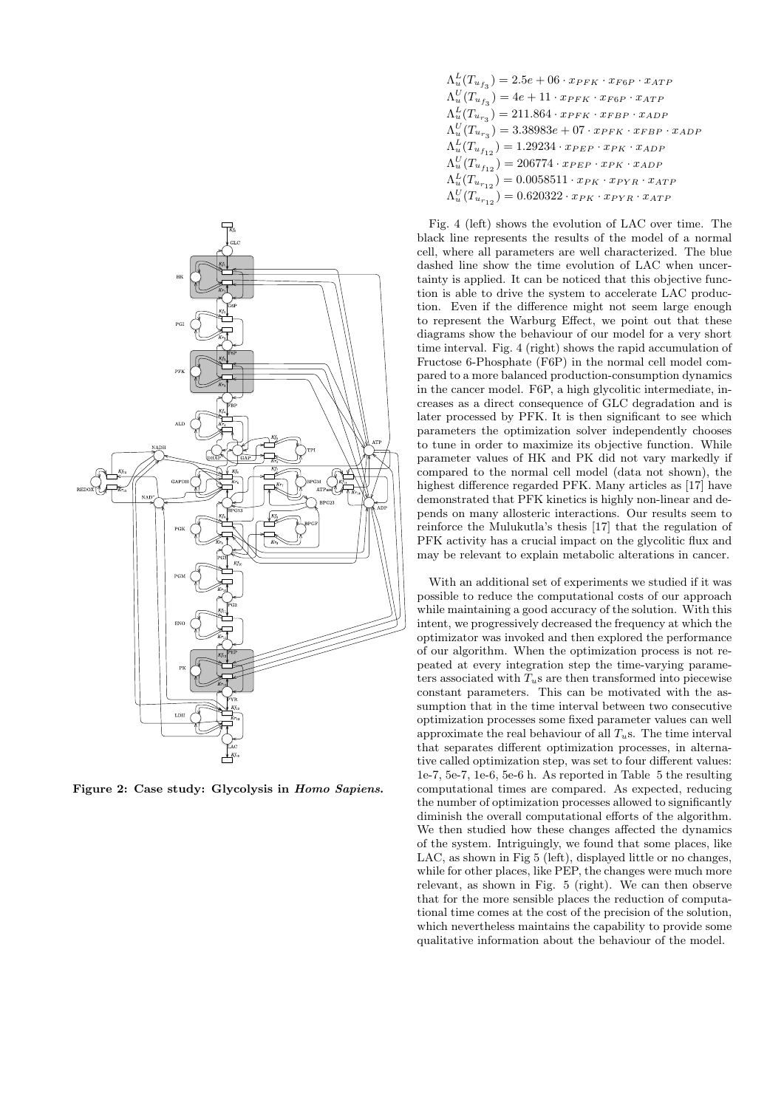

Figure 2: Case study: Glycolysis in Homo Sapiens.

| $\Lambda_u^L(T_{u_{f_3}}) = 2.5e+06\cdot x_{PFK} \cdot x_{F6P} \cdot x_{ATP}$        |
|--------------------------------------------------------------------------------------|
| $\Lambda_u^U(T_{u_{f_3}}) = 4e + 11 \cdot x_{PFK} \cdot x_{F6P} \cdot x_{ATP}$       |
| $\Lambda_u^L(T_{u_{r_3}}) = 211.864 \cdot x_{PFK} \cdot x_{FBP} \cdot x_{ADP}$       |
| $\Lambda_u^U(T_{u_{r_3}}) = 3.38983e + 07 \cdot x_{PFK} \cdot x_{FBP} \cdot x_{ADP}$ |
| $\Lambda_u^L(T_{u_{f_{12}}}) = 1.29234 \cdot x_{PEP} \cdot x_{PK} \cdot x_{ADP}$     |
| $\Lambda_u^U(T_{u_{f_{12}}}) = 206774 \cdot x_{PEP} \cdot x_{PK} \cdot x_{ADP}$      |
| $\Lambda_u^L(T_{u_{r_{12}}}) = 0.0058511 \cdot x_{PK} \cdot x_{PYR} \cdot x_{ATP}$   |
| $\Lambda_u^U(T_{u_{r_12}}) = 0.620322 \cdot x_{PK} \cdot x_{PYR} \cdot x_{ATP}$      |

Fig. 4 (left) shows the evolution of LAC over time. The black line represents the results of the model of a normal cell, where all parameters are well characterized. The blue dashed line show the time evolution of LAC when uncertainty is applied. It can be noticed that this objective function is able to drive the system to accelerate LAC production. Even if the difference might not seem large enough to represent the Warburg Effect, we point out that these diagrams show the behaviour of our model for a very short time interval. Fig. 4 (right) shows the rapid accumulation of Fructose 6-Phosphate (F6P) in the normal cell model compared to a more balanced production-consumption dynamics in the cancer model. F6P, a high glycolitic intermediate, increases as a direct consequence of GLC degradation and is later processed by PFK. It is then significant to see which parameters the optimization solver independently chooses to tune in order to maximize its objective function. While parameter values of HK and PK did not vary markedly if compared to the normal cell model (data not shown), the highest difference regarded PFK. Many articles as [17] have demonstrated that PFK kinetics is highly non-linear and depends on many allosteric interactions. Our results seem to reinforce the Mulukutla's thesis [17] that the regulation of PFK activity has a crucial impact on the glycolitic flux and may be relevant to explain metabolic alterations in cancer.

With an additional set of experiments we studied if it was possible to reduce the computational costs of our approach while maintaining a good accuracy of the solution. With this intent, we progressively decreased the frequency at which the optimizator was invoked and then explored the performance of our algorithm. When the optimization process is not repeated at every integration step the time-varying parameters associated with  $T_u$ s are then transformed into piecewise constant parameters. This can be motivated with the assumption that in the time interval between two consecutive optimization processes some fixed parameter values can well approximate the real behaviour of all  $T_u$ s. The time interval that separates different optimization processes, in alternative called optimization step, was set to four different values: 1e-7, 5e-7, 1e-6, 5e-6 h. As reported in Table 5 the resulting computational times are compared. As expected, reducing the number of optimization processes allowed to significantly diminish the overall computational efforts of the algorithm. We then studied how these changes affected the dynamics of the system. Intriguingly, we found that some places, like LAC, as shown in Fig 5 (left), displayed little or no changes, while for other places, like PEP, the changes were much more relevant, as shown in Fig. 5 (right). We can then observe that for the more sensible places the reduction of computational time comes at the cost of the precision of the solution, which nevertheless maintains the capability to provide some qualitative information about the behaviour of the model.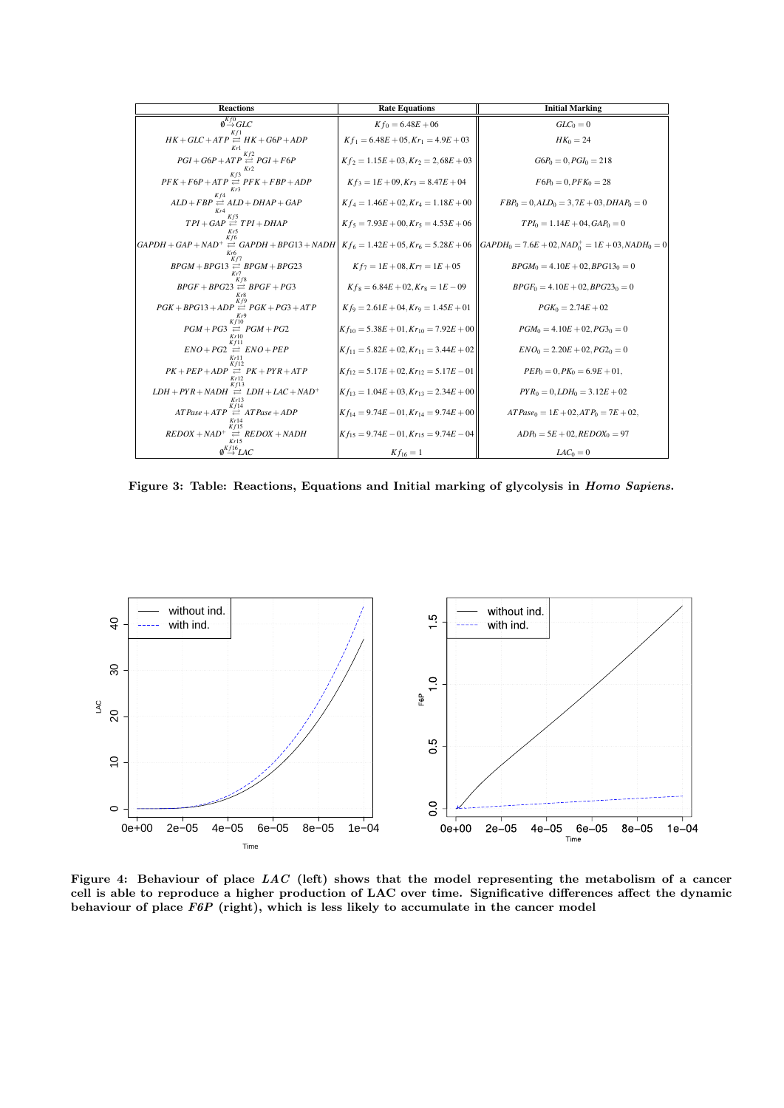| <b>Reactions</b>                                                                                                                                                                    | <b>Rate Equations</b>                           | <b>Initial Marking</b>                      |
|-------------------------------------------------------------------------------------------------------------------------------------------------------------------------------------|-------------------------------------------------|---------------------------------------------|
| $\emptyset^{Kf0}\hspace{-0.1em}GLC$                                                                                                                                                 | $Kf_0 = 6.48E + 06$                             | $GLC_0=0$                                   |
| $HK + GLC + ATP \cong HK + G6P + ADP$                                                                                                                                               | $Kf_1 = 6.48E + 05$ , $Kr_1 = 4.9E + 03$        | $HK_0 = 24$                                 |
| K f 2<br>$PGI + G6P + ATP \rightleftharpoons PGI + F6P$                                                                                                                             | $Kf_2 = 1.15E + 03$ , $Kr_2 = 2.68E + 03$       | $G6P_0 = 0$ , $PGI_0 = 218$                 |
| Kf3<br>$PFK + F6P + ATP \rightleftharpoons PFK + FBP +ADP$                                                                                                                          | $Kf_3 = 1E + 09, Kr_3 = 8.47E + 04$             | $F6P_0 = 0, PFK_0 = 28$                     |
| Kf4<br>$ALD + FBP \rightleftharpoons ALD + DHAP + GAP$                                                                                                                              | $Kf_4 = 1.46E + 02, Kr_4 = 1.18E + 00$          | $FBP_0 = 0, ALD_0 = 3, 7E + 03, DHAP_0 = 0$ |
| K f 5<br>$TPI + GAP \rightleftharpoons TPI + DHAP$<br>Kr5                                                                                                                           | $Kf_5 = 7.93E + 00, Kr_5 = 4.53E + 06$          | $TPI_0 = 1.14E + 04$ , $GAP_0 = 0$          |
| K f 6<br>$GAPDH + GAP + NAD^+ \rightleftharpoons GAPDH + BPG13 + NADH$ $Kf_6 = 1.42E + 05$ , $Kr_6 = 5.28E + 06$ $(GAPDH_0 = 7.6E + 02$ , $NAD_0^+ = 1E + 03$ , $NADH_0 = 0$<br>Kr6 |                                                 |                                             |
| Kf7<br>$BPGM + BPG13 \rightleftharpoons BPGM + BPG23$                                                                                                                               | $Kf_7 = 1E + 08, Kr_7 = 1E + 05$                | $BPGM_0 = 4.10E + 02, BPG13_0 = 0$          |
| $BPGF + BPG23 \rightleftarrows BPGF + PG3$                                                                                                                                          | $Kf_8 = 6.84E + 02, Kr_8 = 1E - 09$             | $BPGF_0 = 4.10E + 02, BPG23_0 = 0$          |
| $PGK + BPG13 + ADP \rightleftarrows PGK + PG3 + ATP$                                                                                                                                | $Kf_9 = 2.61E + 04, Kr_9 = 1.45E + 01$          | $PGK_0 = 2.74E + 02$                        |
| K f 10<br>$PGM + PG3 \rightleftharpoons PGM + PG2$<br>$k+10$                                                                                                                        | $Kf_{10} = 5.38E + 01, Kr_{10} = 7.92E + 00$    | $PGM_0 = 4.10E + 02, PG3_0 = 0$             |
| $ENO+PG2 \rightleftharpoons ENO+PEP$<br>Kr11                                                                                                                                        | $Kf_{11} = 5.82E + 02, Kr_{11} = 3.44E + 02$    | $ENO_0 = 2.20E + 02, PG2_0 = 0$             |
| Kf12<br>$PK + PEP + ADP \rightleftharpoons PK + PYR + ATP$                                                                                                                          | $Kf_{12} = 5.17E + 02, Kr_{12} = 5.17E - 01$    | $PEP_0 = 0, PK_0 = 6.9E + 01,$              |
| $LDH + PYR + NADH \rightleftharpoons LDH + LAC + NAD^{+}$                                                                                                                           | $Kf_{13} = 1.04E + 03, Kr_{13} = 2.34E + 00$    | $PYR_0 = 0$ , $LDH_0 = 3.12E + 02$          |
| K f 14<br>$ATPase + ATP \rightleftharpoons ATPase + ADP$                                                                                                                            | $Kf_{14} = 9.74E - 01, Kr_{14} = 9.74E + 00$    | $ATPase_0 = 1E + 02, ATP_0 = 7E + 02,$      |
| Kf15<br>$REDOX + NAD^+ \rightleftharpoons REDOX + NADH$<br>Kr15                                                                                                                     | $Kf_{15} = 9.74E - 01$ , $Kr_{15} = 9.74E - 04$ | $ADP_0 = 5E + 02, REDOX_0 = 97$             |
| $\emptyset^{Kf16}$ LAC                                                                                                                                                              | $Kf_{16}=1$                                     | $LAC_0 = 0$                                 |

Figure 3: Table: Reactions, Equations and Initial marking of glycolysis in *Homo Sapiens*.



Figure 4: Behaviour of place LAC (left) shows that the model representing the metabolism of a cancer cell is able to reproduce a higher production of LAC over time. Significative differences affect the dynamic behaviour of place  $F6P$  (right), which is less likely to accumulate in the cancer model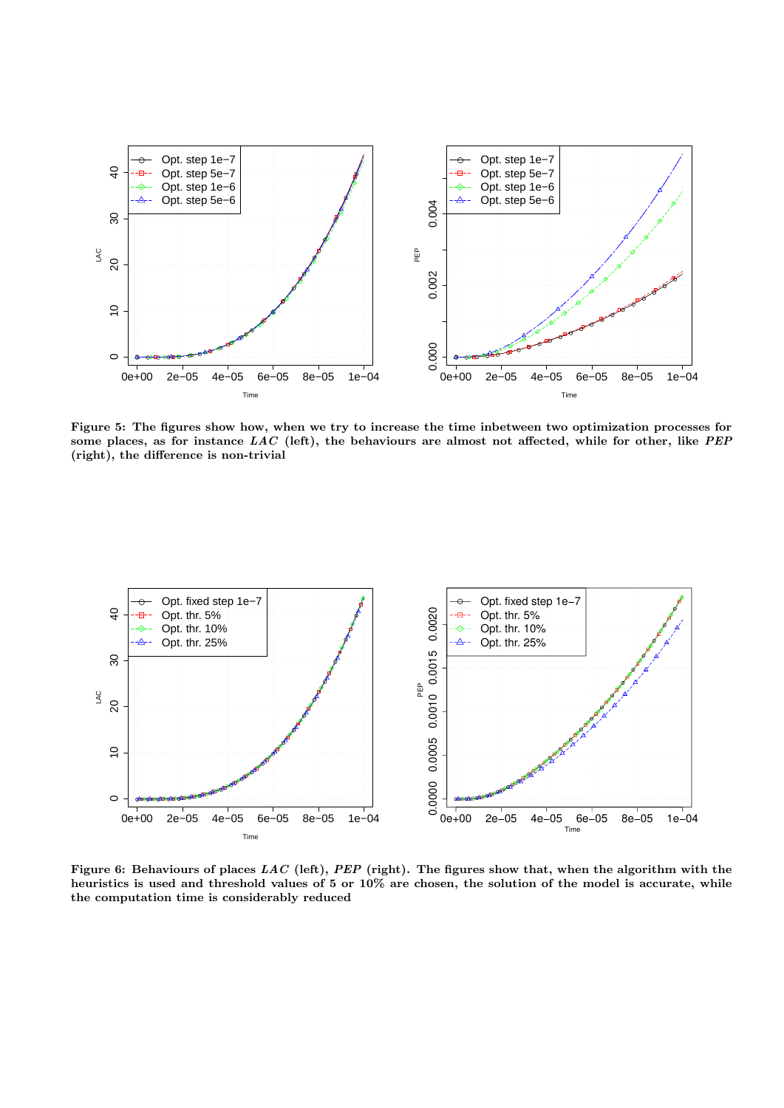

Figure 5: The figures show how, when we try to increase the time inbetween two optimization processes for some places, as for instance  $LAC$  (left), the behaviours are almost not affected, while for other, like PEP (right), the difference is non-trivial



Figure 6: Behaviours of places  $LAC$  (left),  $PEP$  (right). The figures show that, when the algorithm with the heuristics is used and threshold values of 5 or 10% are chosen, the solution of the model is accurate, while the computation time is considerably reduced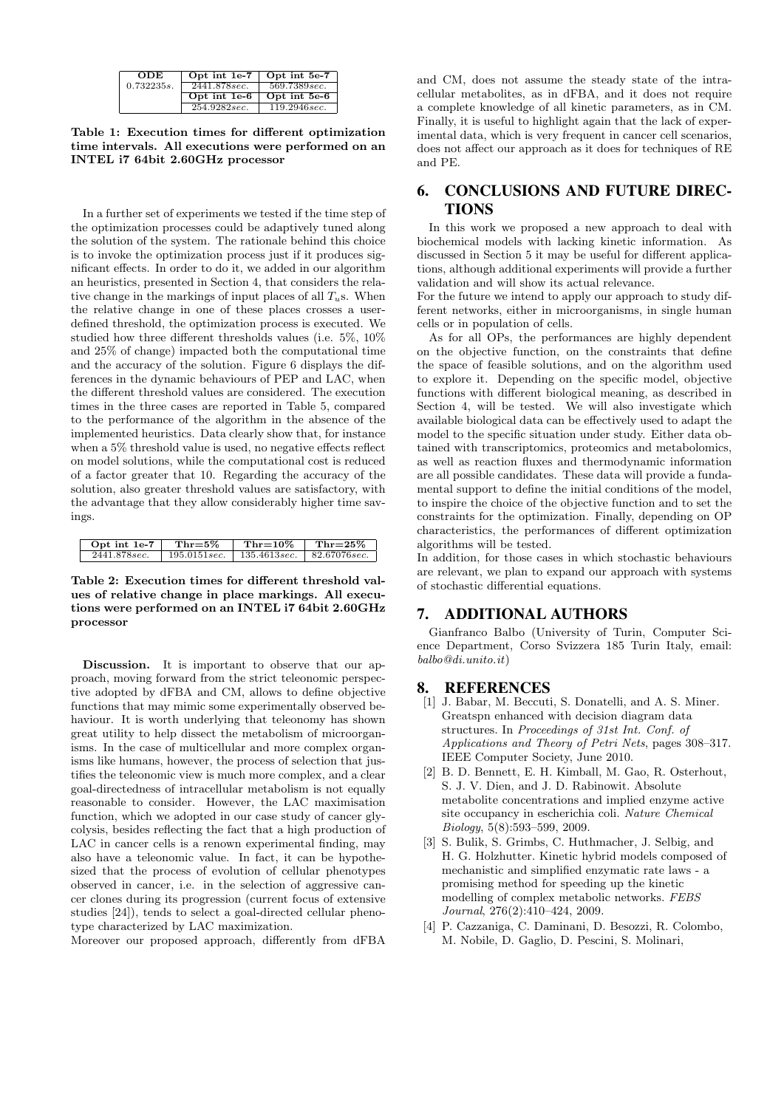| <b>ODE</b> | Opt int 1e-7 | Opt int 5e-7 |
|------------|--------------|--------------|
| 0.732235s. | 2441.878sec. | 569.7389sec. |
|            | Opt int 1e-6 | Opt int 5e-6 |
|            | 254.9282sec. | 119.2946sec. |

Table 1: Execution times for different optimization time intervals. All executions were performed on an INTEL i7 64bit 2.60GHz processor

In a further set of experiments we tested if the time step of the optimization processes could be adaptively tuned along the solution of the system. The rationale behind this choice is to invoke the optimization process just if it produces significant effects. In order to do it, we added in our algorithm an heuristics, presented in Section 4, that considers the relative change in the markings of input places of all  $T_u$ s. When the relative change in one of these places crosses a userdefined threshold, the optimization process is executed. We studied how three different thresholds values (i.e. 5%, 10% and 25% of change) impacted both the computational time and the accuracy of the solution. Figure 6 displays the differences in the dynamic behaviours of PEP and LAC, when the different threshold values are considered. The execution times in the three cases are reported in Table 5, compared to the performance of the algorithm in the absence of the implemented heuristics. Data clearly show that, for instance when a 5% threshold value is used, no negative effects reflect on model solutions, while the computational cost is reduced of a factor greater that 10. Regarding the accuracy of the solution, also greater threshold values are satisfactory, with the advantage that they allow considerably higher time savings.

| Opt int $1e-7$ | Thr $=5\%$    | $Thr=10\%$   | $Thr=25\%$    |
|----------------|---------------|--------------|---------------|
| 2441.878sec.   | 195.0151 sec. | 135.4613sec. | 82.67076 sec. |

Table 2: Execution times for different threshold values of relative change in place markings. All executions were performed on an INTEL i7 64bit 2.60GHz processor

Discussion. It is important to observe that our approach, moving forward from the strict teleonomic perspective adopted by dFBA and CM, allows to define objective functions that may mimic some experimentally observed behaviour. It is worth underlying that teleonomy has shown great utility to help dissect the metabolism of microorganisms. In the case of multicellular and more complex organisms like humans, however, the process of selection that justifies the teleonomic view is much more complex, and a clear goal-directedness of intracellular metabolism is not equally reasonable to consider. However, the LAC maximisation function, which we adopted in our case study of cancer glycolysis, besides reflecting the fact that a high production of LAC in cancer cells is a renown experimental finding, may also have a teleonomic value. In fact, it can be hypothesized that the process of evolution of cellular phenotypes observed in cancer, i.e. in the selection of aggressive cancer clones during its progression (current focus of extensive studies [24]), tends to select a goal-directed cellular phenotype characterized by LAC maximization.

Moreover our proposed approach, differently from dFBA

and CM, does not assume the steady state of the intracellular metabolites, as in dFBA, and it does not require a complete knowledge of all kinetic parameters, as in CM. Finally, it is useful to highlight again that the lack of experimental data, which is very frequent in cancer cell scenarios, does not affect our approach as it does for techniques of RE and PE.

# 6. CONCLUSIONS AND FUTURE DIREC-**TIONS**

In this work we proposed a new approach to deal with biochemical models with lacking kinetic information. As discussed in Section 5 it may be useful for different applications, although additional experiments will provide a further validation and will show its actual relevance.

For the future we intend to apply our approach to study different networks, either in microorganisms, in single human cells or in population of cells.

As for all OPs, the performances are highly dependent on the objective function, on the constraints that define the space of feasible solutions, and on the algorithm used to explore it. Depending on the specific model, objective functions with different biological meaning, as described in Section 4, will be tested. We will also investigate which available biological data can be effectively used to adapt the model to the specific situation under study. Either data obtained with transcriptomics, proteomics and metabolomics, as well as reaction fluxes and thermodynamic information are all possible candidates. These data will provide a fundamental support to define the initial conditions of the model, to inspire the choice of the objective function and to set the constraints for the optimization. Finally, depending on OP characteristics, the performances of different optimization algorithms will be tested.

In addition, for those cases in which stochastic behaviours are relevant, we plan to expand our approach with systems of stochastic differential equations.

## 7. ADDITIONAL AUTHORS

Gianfranco Balbo (University of Turin, Computer Science Department, Corso Svizzera 185 Turin Italy, email: balbo@di.unito.it)

### 8. REFERENCES

- [1] J. Babar, M. Beccuti, S. Donatelli, and A. S. Miner. Greatspn enhanced with decision diagram data structures. In Proceedings of 31st Int. Conf. of Applications and Theory of Petri Nets, pages 308–317. IEEE Computer Society, June 2010.
- [2] B. D. Bennett, E. H. Kimball, M. Gao, R. Osterhout, S. J. V. Dien, and J. D. Rabinowit. Absolute metabolite concentrations and implied enzyme active site occupancy in escherichia coli. Nature Chemical Biology, 5(8):593–599, 2009.
- [3] S. Bulik, S. Grimbs, C. Huthmacher, J. Selbig, and H. G. Holzhutter. Kinetic hybrid models composed of mechanistic and simplified enzymatic rate laws - a promising method for speeding up the kinetic modelling of complex metabolic networks. FEBS Journal, 276(2):410–424, 2009.
- [4] P. Cazzaniga, C. Daminani, D. Besozzi, R. Colombo, M. Nobile, D. Gaglio, D. Pescini, S. Molinari,